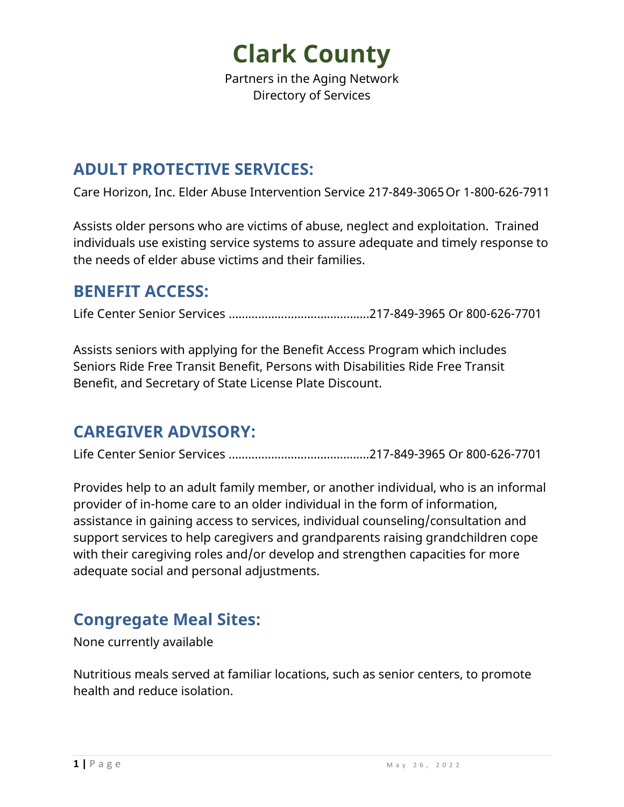Partners in the Aging Network Directory of Services

#### **ADULT PROTECTIVE SERVICES:**

Care Horizon, Inc. Elder Abuse Intervention Service 217-849-3065Or 1-800-626-7911

Assists older persons who are victims of abuse, neglect and exploitation. Trained individuals use existing service systems to assure adequate and timely response to the needs of elder abuse victims and their families.

#### **BENEFIT ACCESS:**

Life Center Senior Services …………………………………....217-849-3965 Or 800-626-7701

Assists seniors with applying for the Benefit Access Program which includes Seniors Ride Free Transit Benefit, Persons with Disabilities Ride Free Transit Benefit, and Secretary of State License Plate Discount.

#### **CAREGIVER ADVISORY:**

Life Center Senior Services …………………………………....217-849-3965 Or 800-626-7701

Provides help to an adult family member, or another individual, who is an informal provider of in-home care to an older individual in the form of information, assistance in gaining access to services, individual counseling/consultation and support services to help caregivers and grandparents raising grandchildren cope with their caregiving roles and/or develop and strengthen capacities for more adequate social and personal adjustments.

#### **Congregate Meal Sites:**

None currently available

Nutritious meals served at familiar locations, such as senior centers, to promote health and reduce isolation.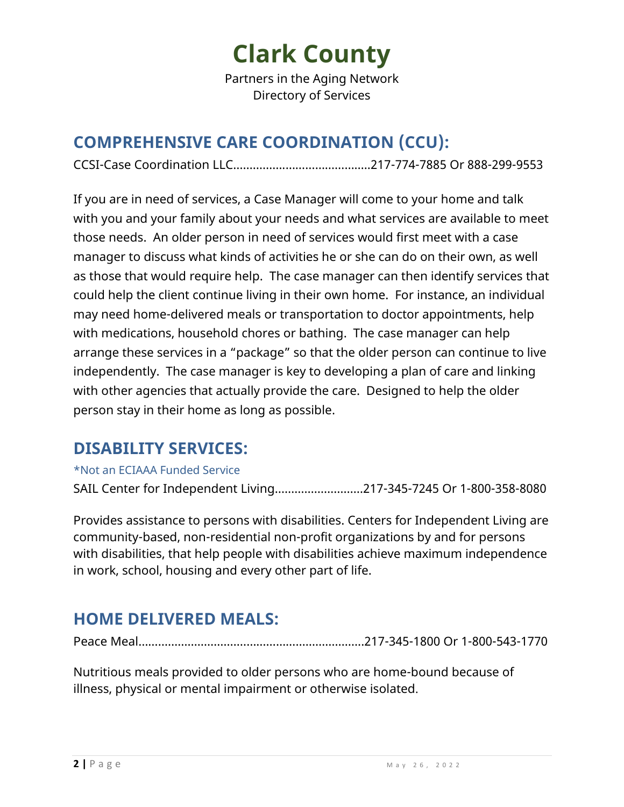Partners in the Aging Network Directory of Services

### **COMPREHENSIVE CARE COORDINATION (CCU):**

CCSI-Case Coordination LLC…………….……………………..217-774-7885 Or 888-299-9553

If you are in need of services, a Case Manager will come to your home and talk with you and your family about your needs and what services are available to meet those needs. An older person in need of services would first meet with a case manager to discuss what kinds of activities he or she can do on their own, as well as those that would require help. The case manager can then identify services that could help the client continue living in their own home. For instance, an individual may need home-delivered meals or transportation to doctor appointments, help with medications, household chores or bathing. The case manager can help arrange these services in a "package" so that the older person can continue to live independently. The case manager is key to developing a plan of care and linking with other agencies that actually provide the care. Designed to help the older person stay in their home as long as possible.

#### **DISABILITY SERVICES:**

#### \*Not an ECIAAA Funded Service

SAIL Center for Independent Living………………………217-345-7245 Or 1-800-358-8080

Provides assistance to persons with disabilities. Centers for Independent Living are community-based, non-residential non-profit organizations by and for persons with disabilities, that help people with disabilities achieve maximum independence in work, school, housing and every other part of life.

### **HOME DELIVERED MEALS:**

Peace Meal…………………………………………………………...217-345-1800 Or 1-800-543-1770

Nutritious meals provided to older persons who are home-bound because of illness, physical or mental impairment or otherwise isolated.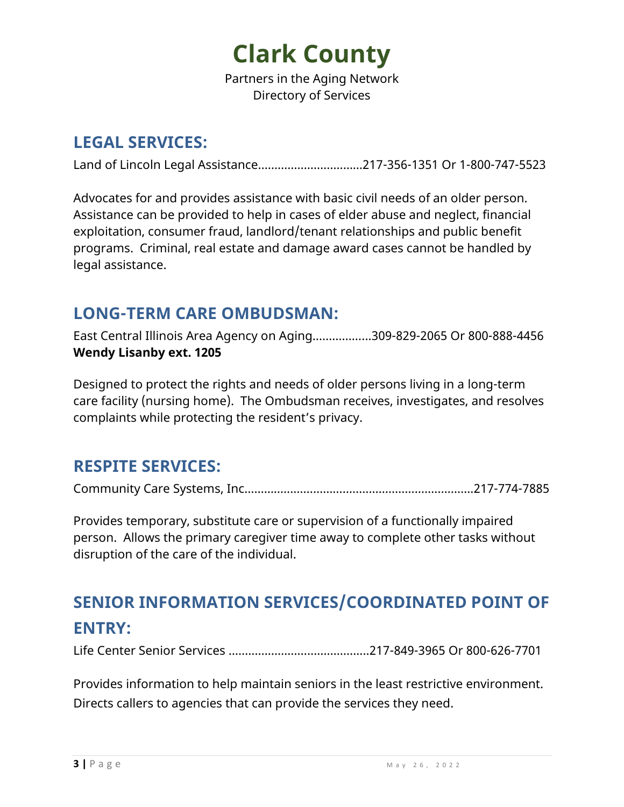Partners in the Aging Network Directory of Services

#### **LEGAL SERVICES:**

Land of Lincoln Legal Assistance……………………..……217-356-1351 Or 1-800-747-5523

Advocates for and provides assistance with basic civil needs of an older person. Assistance can be provided to help in cases of elder abuse and neglect, financial exploitation, consumer fraud, landlord/tenant relationships and public benefit programs. Criminal, real estate and damage award cases cannot be handled by legal assistance.

#### **LONG-TERM CARE OMBUDSMAN:**

East Central Illinois Area Agency on Aging……………...309-829-2065 Or 800-888-4456 **Wendy Lisanby ext. 1205** 

Designed to protect the rights and needs of older persons living in a long-term care facility (nursing home). The Ombudsman receives, investigates, and resolves complaints while protecting the resident's privacy.

#### **RESPITE SERVICES:**

Community Care Systems, Inc…………...……………………………….…….………..217-774-7885

Provides temporary, substitute care or supervision of a functionally impaired person. Allows the primary caregiver time away to complete other tasks without disruption of the care of the individual.

### **SENIOR INFORMATION SERVICES/COORDINATED POINT OF ENTRY:**

Life Center Senior Services …………………………………....217-849-3965 Or 800-626-7701

Provides information to help maintain seniors in the least restrictive environment. Directs callers to agencies that can provide the services they need.